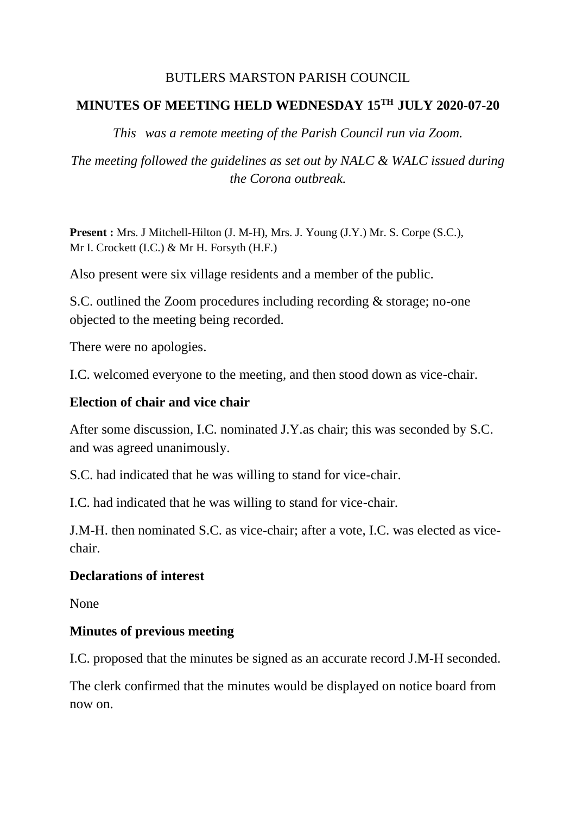### BUTLERS MARSTON PARISH COUNCIL

### **MINUTES OF MEETING HELD WEDNESDAY 15TH JULY 2020-07-20**

*This was a remote meeting of the Parish Council run via Zoom.*

*The meeting followed the guidelines as set out by NALC & WALC issued during the Corona outbreak.*

**Present :** Mrs. J Mitchell-Hilton (J. M-H), Mrs. J. Young (J.Y.) Mr. S. Corpe (S.C.), Mr I. Crockett (I.C.) & Mr H. Forsyth (H.F.)

Also present were six village residents and a member of the public.

S.C. outlined the Zoom procedures including recording & storage; no-one objected to the meeting being recorded.

There were no apologies.

I.C. welcomed everyone to the meeting, and then stood down as vice-chair.

### **Election of chair and vice chair**

After some discussion, I.C. nominated J.Y.as chair; this was seconded by S.C. and was agreed unanimously.

S.C. had indicated that he was willing to stand for vice-chair.

I.C. had indicated that he was willing to stand for vice-chair.

J.M-H. then nominated S.C. as vice-chair; after a vote, I.C. was elected as vicechair.

### **Declarations of interest**

None

### **Minutes of previous meeting**

I.C. proposed that the minutes be signed as an accurate record J.M-H seconded.

The clerk confirmed that the minutes would be displayed on notice board from now on.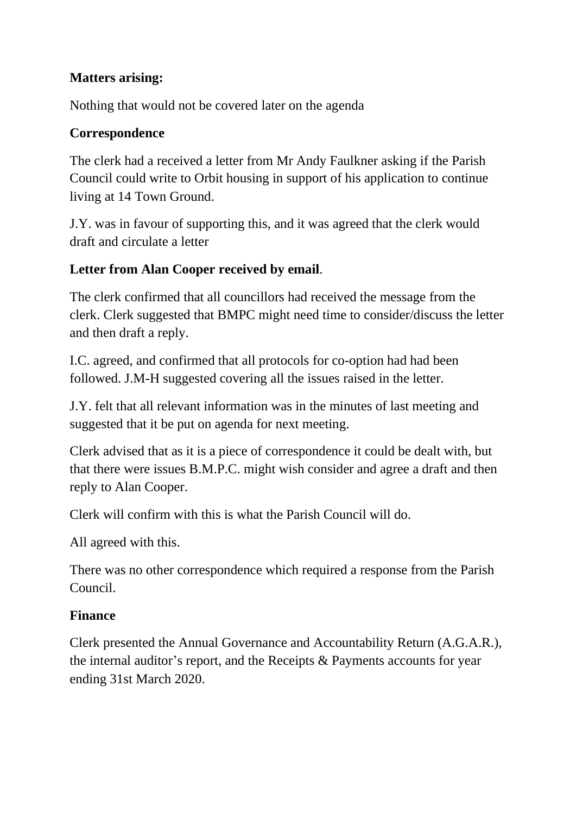# **Matters arising:**

Nothing that would not be covered later on the agenda

### **Correspondence**

The clerk had a received a letter from Mr Andy Faulkner asking if the Parish Council could write to Orbit housing in support of his application to continue living at 14 Town Ground.

J.Y. was in favour of supporting this, and it was agreed that the clerk would draft and circulate a letter

# **Letter from Alan Cooper received by email**.

The clerk confirmed that all councillors had received the message from the clerk. Clerk suggested that BMPC might need time to consider/discuss the letter and then draft a reply.

I.C. agreed, and confirmed that all protocols for co-option had had been followed. J.M-H suggested covering all the issues raised in the letter.

J.Y. felt that all relevant information was in the minutes of last meeting and suggested that it be put on agenda for next meeting.

Clerk advised that as it is a piece of correspondence it could be dealt with, but that there were issues B.M.P.C. might wish consider and agree a draft and then reply to Alan Cooper.

Clerk will confirm with this is what the Parish Council will do.

All agreed with this.

There was no other correspondence which required a response from the Parish Council.

# **Finance**

Clerk presented the Annual Governance and Accountability Return (A.G.A.R.), the internal auditor's report, and the Receipts & Payments accounts for year ending 31st March 2020.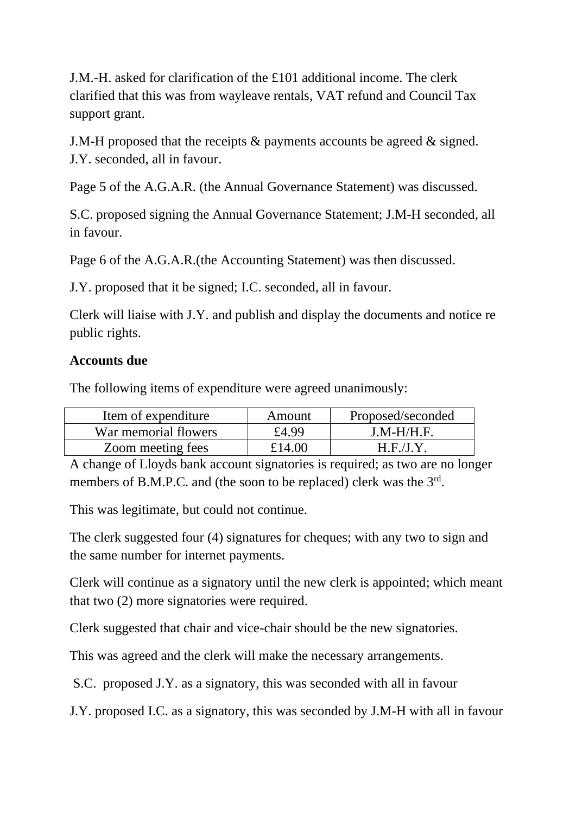J.M.-H. asked for clarification of the £101 additional income. The clerk clarified that this was from wayleave rentals, VAT refund and Council Tax support grant.

J.M-H proposed that the receipts & payments accounts be agreed & signed. J.Y. seconded, all in favour.

Page 5 of the A.G.A.R. (the Annual Governance Statement) was discussed.

S.C. proposed signing the Annual Governance Statement; J.M-H seconded, all in favour.

Page 6 of the A.G.A.R.(the Accounting Statement) was then discussed.

J.Y. proposed that it be signed; I.C. seconded, all in favour.

Clerk will liaise with J.Y. and publish and display the documents and notice re public rights.

#### **Accounts due**

The following items of expenditure were agreed unanimously:

| Item of expenditure  | Amount | Proposed/seconded |
|----------------------|--------|-------------------|
| War memorial flowers | £4.99  | $J.M-H/H.F.$      |
| Zoom meeting fees    | £14.00 | H.F.J.Y           |

A change of Lloyds bank account signatories is required; as two are no longer members of B.M.P.C. and (the soon to be replaced) clerk was the 3<sup>rd</sup>.

This was legitimate, but could not continue.

The clerk suggested four (4) signatures for cheques; with any two to sign and the same number for internet payments.

Clerk will continue as a signatory until the new clerk is appointed; which meant that two (2) more signatories were required.

Clerk suggested that chair and vice-chair should be the new signatories.

This was agreed and the clerk will make the necessary arrangements.

S.C. proposed J.Y. as a signatory, this was seconded with all in favour

J.Y. proposed I.C. as a signatory, this was seconded by J.M-H with all in favour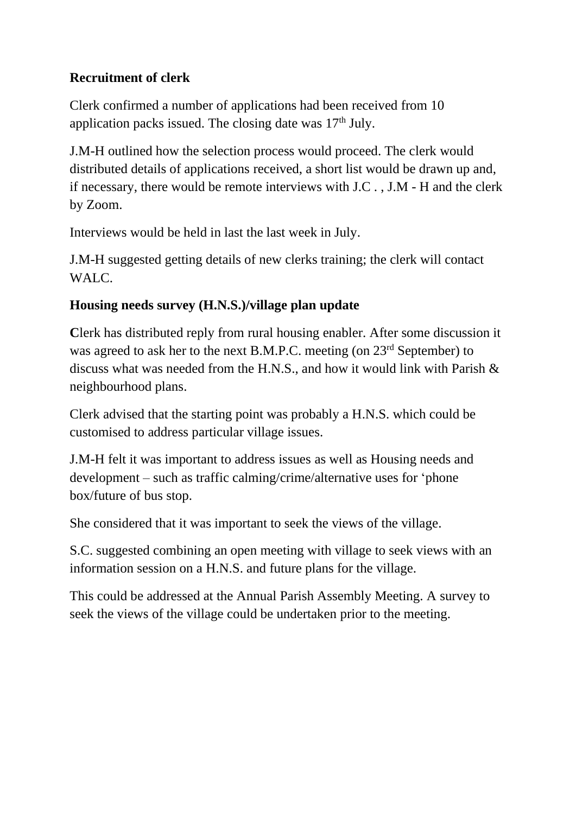# **Recruitment of clerk**

Clerk confirmed a number of applications had been received from 10 application packs issued. The closing date was  $17<sup>th</sup>$  July.

J.M-H outlined how the selection process would proceed. The clerk would distributed details of applications received, a short list would be drawn up and, if necessary, there would be remote interviews with J.C . , J.M - H and the clerk by Zoom.

Interviews would be held in last the last week in July.

J.M-H suggested getting details of new clerks training; the clerk will contact WALC.

# **Housing needs survey (H.N.S.)/village plan update**

**C**lerk has distributed reply from rural housing enabler. After some discussion it was agreed to ask her to the next B.M.P.C. meeting (on 23<sup>rd</sup> September) to discuss what was needed from the H.N.S., and how it would link with Parish & neighbourhood plans.

Clerk advised that the starting point was probably a H.N.S. which could be customised to address particular village issues.

J.M-H felt it was important to address issues as well as Housing needs and development – such as traffic calming/crime/alternative uses for 'phone box/future of bus stop.

She considered that it was important to seek the views of the village.

S.C. suggested combining an open meeting with village to seek views with an information session on a H.N.S. and future plans for the village.

This could be addressed at the Annual Parish Assembly Meeting. A survey to seek the views of the village could be undertaken prior to the meeting.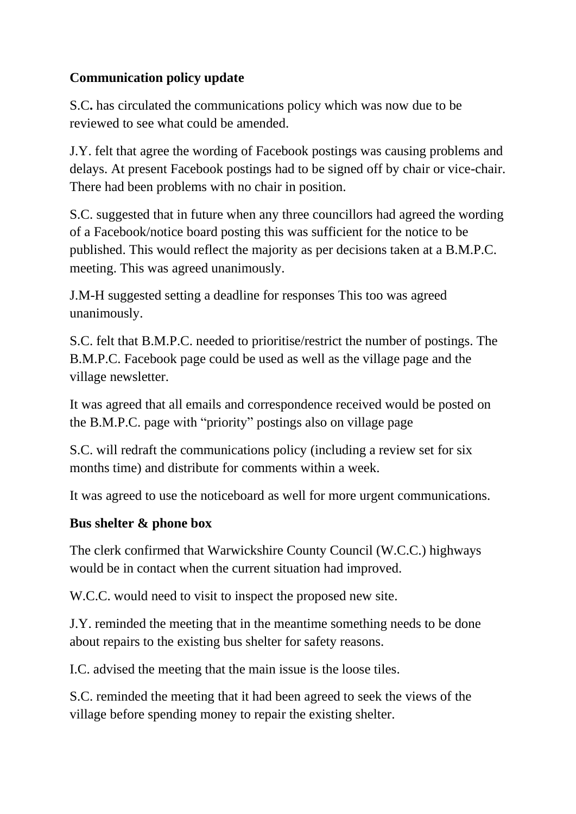# **Communication policy update**

S.C**.** has circulated the communications policy which was now due to be reviewed to see what could be amended.

J.Y. felt that agree the wording of Facebook postings was causing problems and delays. At present Facebook postings had to be signed off by chair or vice-chair. There had been problems with no chair in position.

S.C. suggested that in future when any three councillors had agreed the wording of a Facebook/notice board posting this was sufficient for the notice to be published. This would reflect the majority as per decisions taken at a B.M.P.C. meeting. This was agreed unanimously.

J.M-H suggested setting a deadline for responses This too was agreed unanimously.

S.C. felt that B.M.P.C. needed to prioritise/restrict the number of postings. The B.M.P.C. Facebook page could be used as well as the village page and the village newsletter.

It was agreed that all emails and correspondence received would be posted on the B.M.P.C. page with "priority" postings also on village page

S.C. will redraft the communications policy (including a review set for six months time) and distribute for comments within a week.

It was agreed to use the noticeboard as well for more urgent communications.

# **Bus shelter & phone box**

The clerk confirmed that Warwickshire County Council (W.C.C.) highways would be in contact when the current situation had improved.

W.C.C. would need to visit to inspect the proposed new site.

J.Y. reminded the meeting that in the meantime something needs to be done about repairs to the existing bus shelter for safety reasons.

I.C. advised the meeting that the main issue is the loose tiles.

S.C. reminded the meeting that it had been agreed to seek the views of the village before spending money to repair the existing shelter.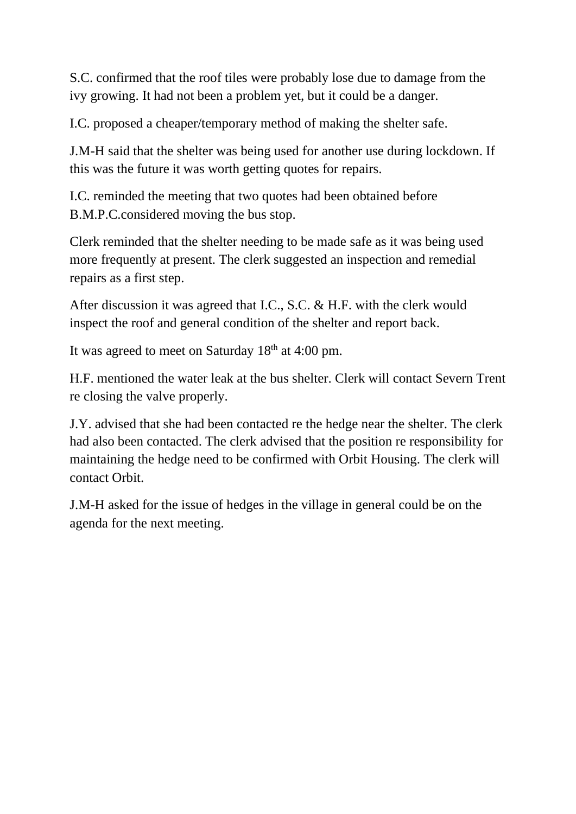S.C. confirmed that the roof tiles were probably lose due to damage from the ivy growing. It had not been a problem yet, but it could be a danger.

I.C. proposed a cheaper/temporary method of making the shelter safe.

J.M-H said that the shelter was being used for another use during lockdown. If this was the future it was worth getting quotes for repairs.

I.C. reminded the meeting that two quotes had been obtained before B.M.P.C.considered moving the bus stop.

Clerk reminded that the shelter needing to be made safe as it was being used more frequently at present. The clerk suggested an inspection and remedial repairs as a first step.

After discussion it was agreed that I.C., S.C. & H.F. with the clerk would inspect the roof and general condition of the shelter and report back.

It was agreed to meet on Saturday  $18<sup>th</sup>$  at 4:00 pm.

H.F. mentioned the water leak at the bus shelter. Clerk will contact Severn Trent re closing the valve properly.

J.Y. advised that she had been contacted re the hedge near the shelter. The clerk had also been contacted. The clerk advised that the position re responsibility for maintaining the hedge need to be confirmed with Orbit Housing. The clerk will contact Orbit.

J.M-H asked for the issue of hedges in the village in general could be on the agenda for the next meeting.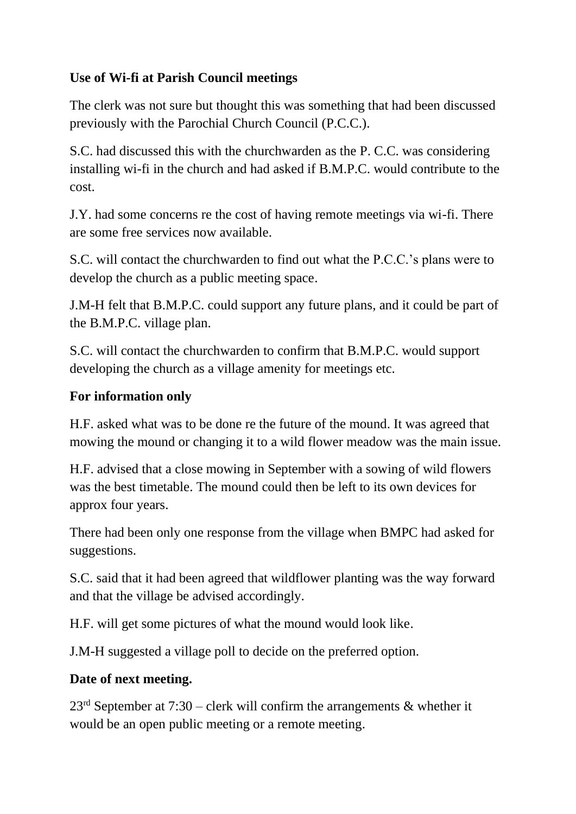# **Use of Wi-fi at Parish Council meetings**

The clerk was not sure but thought this was something that had been discussed previously with the Parochial Church Council (P.C.C.).

S.C. had discussed this with the churchwarden as the P. C.C. was considering installing wi-fi in the church and had asked if B.M.P.C. would contribute to the cost.

J.Y. had some concerns re the cost of having remote meetings via wi-fi. There are some free services now available.

S.C. will contact the churchwarden to find out what the P.C.C.'s plans were to develop the church as a public meeting space.

J.M-H felt that B.M.P.C. could support any future plans, and it could be part of the B.M.P.C. village plan.

S.C. will contact the churchwarden to confirm that B.M.P.C. would support developing the church as a village amenity for meetings etc.

### **For information only**

H.F. asked what was to be done re the future of the mound. It was agreed that mowing the mound or changing it to a wild flower meadow was the main issue.

H.F. advised that a close mowing in September with a sowing of wild flowers was the best timetable. The mound could then be left to its own devices for approx four years.

There had been only one response from the village when BMPC had asked for suggestions.

S.C. said that it had been agreed that wildflower planting was the way forward and that the village be advised accordingly.

H.F. will get some pictures of what the mound would look like.

J.M-H suggested a village poll to decide on the preferred option.

# **Date of next meeting.**

 $23<sup>rd</sup>$  September at 7:30 – clerk will confirm the arrangements & whether it would be an open public meeting or a remote meeting.